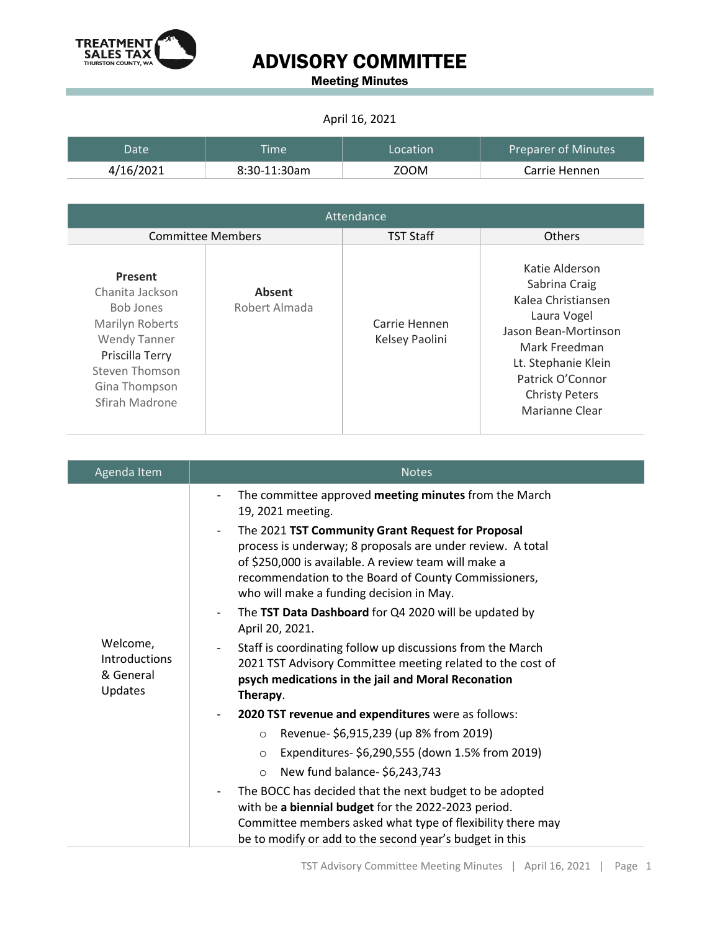

## ADVISORY COMMITTEE

Meeting Minutes

## April 16, 2021

| Datel     | <b>Time</b>  | Location | <b>Preparer of Minutes</b> |
|-----------|--------------|----------|----------------------------|
| 4/16/2021 | 8:30-11:30am | ZOOM     | Carrie Hennen              |

| Attendance                                                                                                                                                       |                                |                                 |                                                                                                                                                                                                     |  |  |
|------------------------------------------------------------------------------------------------------------------------------------------------------------------|--------------------------------|---------------------------------|-----------------------------------------------------------------------------------------------------------------------------------------------------------------------------------------------------|--|--|
| <b>Committee Members</b>                                                                                                                                         |                                | <b>TST Staff</b>                | <b>Others</b>                                                                                                                                                                                       |  |  |
| Present<br>Chanita Jackson<br><b>Bob Jones</b><br>Marilyn Roberts<br><b>Wendy Tanner</b><br>Priscilla Terry<br>Steven Thomson<br>Gina Thompson<br>Sfirah Madrone | <b>Absent</b><br>Robert Almada | Carrie Hennen<br>Kelsey Paolini | Katie Alderson<br>Sabrina Craig<br>Kalea Christiansen<br>Laura Vogel<br>Jason Bean-Mortinson<br>Mark Freedman<br>Lt. Stephanie Klein<br>Patrick O'Connor<br><b>Christy Peters</b><br>Marianne Clear |  |  |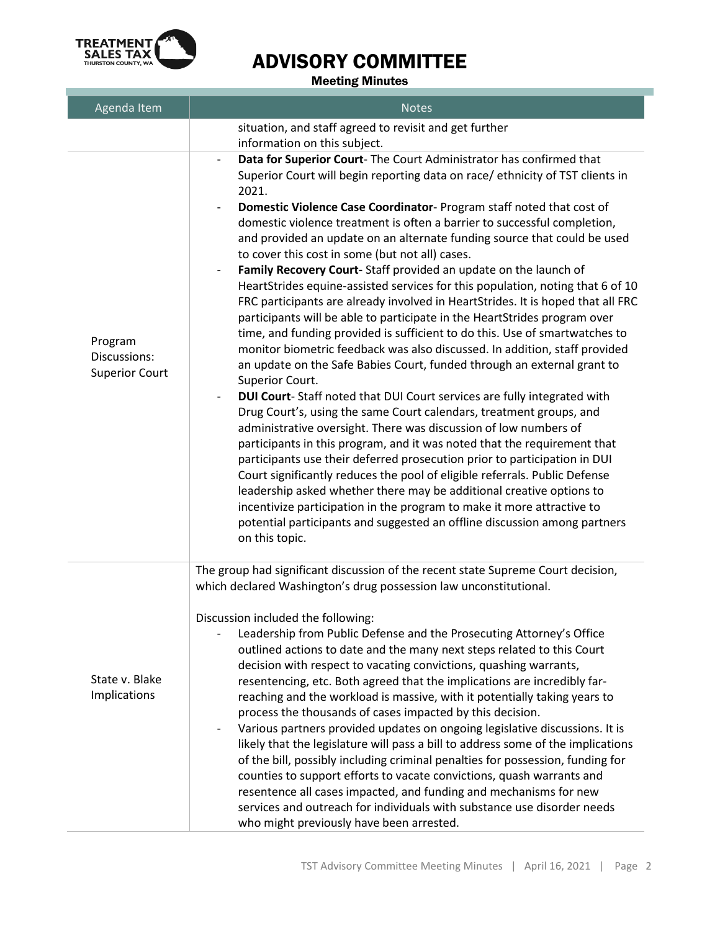

## ADVISORY COMMITTEE

Meeting Minutes

| Agenda Item                                      | <b>Notes</b>                                                                                                                                                                                                                                                                                                                                                                                                                                                                                                                                                                                                                                                                                                                                                                                                                                                                                                                                                                                                                                                                                                                                                                                                                                                                                                                                                                                                                                                                                                                                                                                                                                                                                                                                                               |
|--------------------------------------------------|----------------------------------------------------------------------------------------------------------------------------------------------------------------------------------------------------------------------------------------------------------------------------------------------------------------------------------------------------------------------------------------------------------------------------------------------------------------------------------------------------------------------------------------------------------------------------------------------------------------------------------------------------------------------------------------------------------------------------------------------------------------------------------------------------------------------------------------------------------------------------------------------------------------------------------------------------------------------------------------------------------------------------------------------------------------------------------------------------------------------------------------------------------------------------------------------------------------------------------------------------------------------------------------------------------------------------------------------------------------------------------------------------------------------------------------------------------------------------------------------------------------------------------------------------------------------------------------------------------------------------------------------------------------------------------------------------------------------------------------------------------------------------|
|                                                  | situation, and staff agreed to revisit and get further<br>information on this subject.                                                                                                                                                                                                                                                                                                                                                                                                                                                                                                                                                                                                                                                                                                                                                                                                                                                                                                                                                                                                                                                                                                                                                                                                                                                                                                                                                                                                                                                                                                                                                                                                                                                                                     |
| Program<br>Discussions:<br><b>Superior Court</b> | Data for Superior Court- The Court Administrator has confirmed that<br>$\overline{\phantom{a}}$<br>Superior Court will begin reporting data on race/ ethnicity of TST clients in<br>2021.<br>Domestic Violence Case Coordinator- Program staff noted that cost of<br>domestic violence treatment is often a barrier to successful completion,<br>and provided an update on an alternate funding source that could be used<br>to cover this cost in some (but not all) cases.<br>Family Recovery Court-Staff provided an update on the launch of<br>HeartStrides equine-assisted services for this population, noting that 6 of 10<br>FRC participants are already involved in HeartStrides. It is hoped that all FRC<br>participants will be able to participate in the HeartStrides program over<br>time, and funding provided is sufficient to do this. Use of smartwatches to<br>monitor biometric feedback was also discussed. In addition, staff provided<br>an update on the Safe Babies Court, funded through an external grant to<br>Superior Court.<br>DUI Court-Staff noted that DUI Court services are fully integrated with<br>Drug Court's, using the same Court calendars, treatment groups, and<br>administrative oversight. There was discussion of low numbers of<br>participants in this program, and it was noted that the requirement that<br>participants use their deferred prosecution prior to participation in DUI<br>Court significantly reduces the pool of eligible referrals. Public Defense<br>leadership asked whether there may be additional creative options to<br>incentivize participation in the program to make it more attractive to<br>potential participants and suggested an offline discussion among partners<br>on this topic. |
| State v. Blake<br>Implications                   | The group had significant discussion of the recent state Supreme Court decision,<br>which declared Washington's drug possession law unconstitutional.<br>Discussion included the following:<br>Leadership from Public Defense and the Prosecuting Attorney's Office<br>outlined actions to date and the many next steps related to this Court<br>decision with respect to vacating convictions, quashing warrants,<br>resentencing, etc. Both agreed that the implications are incredibly far-<br>reaching and the workload is massive, with it potentially taking years to<br>process the thousands of cases impacted by this decision.<br>Various partners provided updates on ongoing legislative discussions. It is<br>likely that the legislature will pass a bill to address some of the implications<br>of the bill, possibly including criminal penalties for possession, funding for<br>counties to support efforts to vacate convictions, quash warrants and<br>resentence all cases impacted, and funding and mechanisms for new<br>services and outreach for individuals with substance use disorder needs<br>who might previously have been arrested.                                                                                                                                                                                                                                                                                                                                                                                                                                                                                                                                                                                                         |